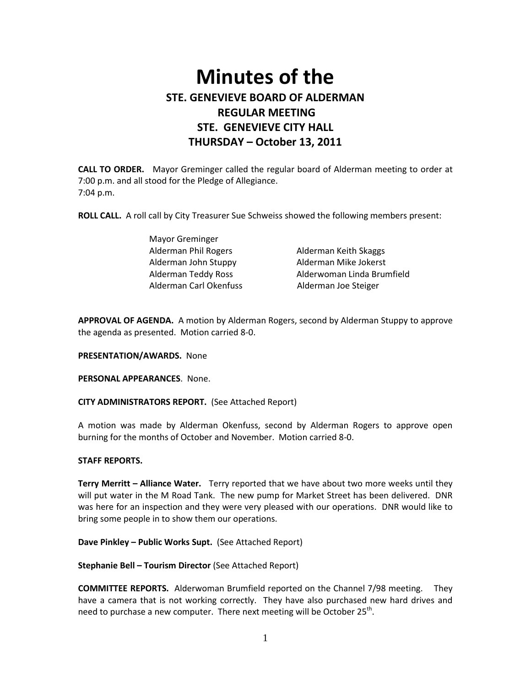# **Minutes of the STE. GENEVIEVE BOARD OF ALDERMAN REGULAR MEETING STE. GENEVIEVE CITY HALL THURSDAY – October 13, 2011**

**CALL TO ORDER.** Mayor Greminger called the regular board of Alderman meeting to order at 7:00 p.m. and all stood for the Pledge of Allegiance. 7:04 p.m.

**ROLL CALL.** A roll call by City Treasurer Sue Schweiss showed the following members present:

| Mayor Greminger        |                            |
|------------------------|----------------------------|
| Alderman Phil Rogers   | Alderman Keith Skaggs      |
| Alderman John Stuppy   | Alderman Mike Jokerst      |
| Alderman Teddy Ross    | Alderwoman Linda Brumfield |
| Alderman Carl Okenfuss | Alderman Joe Steiger       |

**APPROVAL OF AGENDA.** A motion by Alderman Rogers, second by Alderman Stuppy to approve the agenda as presented. Motion carried 8-0.

**PRESENTATION/AWARDS.** None

**PERSONAL APPEARANCES**. None.

**CITY ADMINISTRATORS REPORT.** (See Attached Report)

A motion was made by Alderman Okenfuss, second by Alderman Rogers to approve open burning for the months of October and November. Motion carried 8-0.

#### **STAFF REPORTS.**

**Terry Merritt – Alliance Water.** Terry reported that we have about two more weeks until they will put water in the M Road Tank. The new pump for Market Street has been delivered. DNR was here for an inspection and they were very pleased with our operations. DNR would like to bring some people in to show them our operations.

**Dave Pinkley – Public Works Supt.** (See Attached Report)

**Stephanie Bell – Tourism Director** (See Attached Report)

**COMMITTEE REPORTS.** Alderwoman Brumfield reported on the Channel 7/98 meeting. They have a camera that is not working correctly. They have also purchased new hard drives and need to purchase a new computer. There next meeting will be October 25<sup>th</sup>.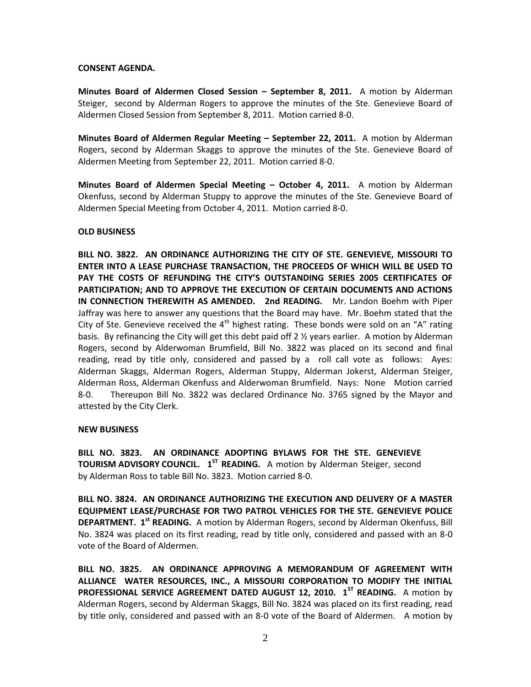### **CONSENT AGENDA.**

**Minutes Board of Aldermen Closed Session – September 8, 2011.** A motion by Alderman Steiger, second by Alderman Rogers to approve the minutes of the Ste. Genevieve Board of Aldermen Closed Session from September 8, 2011. Motion carried 8-0.

**Minutes Board of Aldermen Regular Meeting – September 22, 2011.** A motion by Alderman Rogers, second by Alderman Skaggs to approve the minutes of the Ste. Genevieve Board of Aldermen Meeting from September 22, 2011. Motion carried 8-0.

**Minutes Board of Aldermen Special Meeting – October 4, 2011.** A motion by Alderman Okenfuss, second by Alderman Stuppy to approve the minutes of the Ste. Genevieve Board of Aldermen Special Meeting from October 4, 2011. Motion carried 8-0.

# **OLD BUSINESS**

**BILL NO. 3822. AN ORDINANCE AUTHORIZING THE CITY OF STE. GENEVIEVE, MISSOURI TO ENTER INTO A LEASE PURCHASE TRANSACTION, THE PROCEEDS OF WHICH WILL BE USED TO PAY THE COSTS OF REFUNDING THE CITY'S OUTSTANDING SERIES 2005 CERTIFICATES OF PARTICIPATION; AND TO APPROVE THE EXECUTION OF CERTAIN DOCUMENTS AND ACTIONS IN CONNECTION THEREWITH AS AMENDED. 2nd READING.** Mr. Landon Boehm with Piper Jaffray was here to answer any questions that the Board may have. Mr. Boehm stated that the City of Ste. Genevieve received the  $4<sup>th</sup>$  highest rating. These bonds were sold on an "A" rating basis. By refinancing the City will get this debt paid off 2 ½ years earlier. A motion by Alderman Rogers, second by Alderwoman Brumfield, Bill No. 3822 was placed on its second and final reading, read by title only, considered and passed by a roll call vote as follows: Ayes: Alderman Skaggs, Alderman Rogers, Alderman Stuppy, Alderman Jokerst, Alderman Steiger, Alderman Ross, Alderman Okenfuss and Alderwoman Brumfield. Nays: None Motion carried 8-0. Thereupon Bill No. 3822 was declared Ordinance No. 3765 signed by the Mayor and attested by the City Clerk.

#### **NEW BUSINESS**

**BILL NO. 3823. AN ORDINANCE ADOPTING BYLAWS FOR THE STE. GENEVIEVE TOURISM ADVISORY COUNCIL.** 1<sup>ST</sup> READING. A motion by Alderman Steiger, second by Alderman Ross to table Bill No. 3823. Motion carried 8-0.

**BILL NO. 3824. AN ORDINANCE AUTHORIZING THE EXECUTION AND DELIVERY OF A MASTER EQUIPMENT LEASE/PURCHASE FOR TWO PATROL VEHICLES FOR THE STE. GENEVIEVE POLICE DEPARTMENT. 1 st READING.** A motion by Alderman Rogers, second by Alderman Okenfuss, Bill No. 3824 was placed on its first reading, read by title only, considered and passed with an 8-0 vote of the Board of Aldermen.

**BILL NO. 3825. AN ORDINANCE APPROVING A MEMORANDUM OF AGREEMENT WITH ALLIANCE WATER RESOURCES, INC., A MISSOURI CORPORATION TO MODIFY THE INITIAL PROFESSIONAL SERVICE AGREEMENT DATED AUGUST 12, 2010. 1ST READING.** A motion by Alderman Rogers, second by Alderman Skaggs, Bill No. 3824 was placed on its first reading, read by title only, considered and passed with an 8-0 vote of the Board of Aldermen. A motion by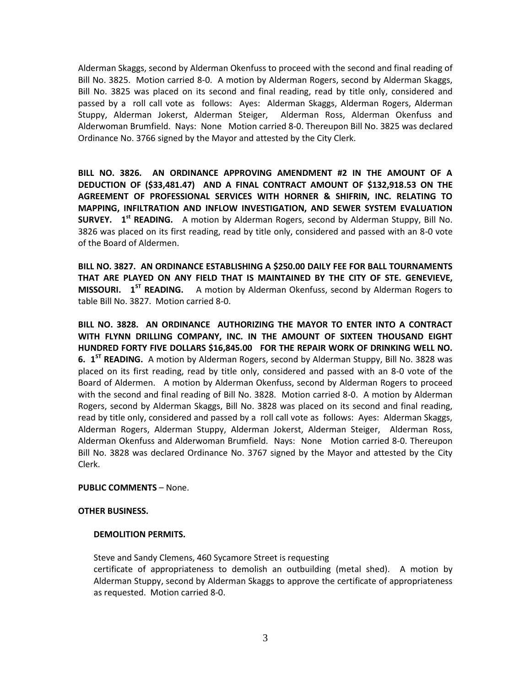Alderman Skaggs, second by Alderman Okenfuss to proceed with the second and final reading of Bill No. 3825. Motion carried 8-0. A motion by Alderman Rogers, second by Alderman Skaggs, Bill No. 3825 was placed on its second and final reading, read by title only, considered and passed by a roll call vote as follows: Ayes: Alderman Skaggs, Alderman Rogers, Alderman Stuppy, Alderman Jokerst, Alderman Steiger, Alderman Ross, Alderman Okenfuss and Alderwoman Brumfield. Nays: None Motion carried 8-0. Thereupon Bill No. 3825 was declared Ordinance No. 3766 signed by the Mayor and attested by the City Clerk.

**BILL NO. 3826. AN ORDINANCE APPROVING AMENDMENT #2 IN THE AMOUNT OF A DEDUCTION OF (\$33,481.47) AND A FINAL CONTRACT AMOUNT OF \$132,918.53 ON THE AGREEMENT OF PROFESSIONAL SERVICES WITH HORNER & SHIFRIN, INC. RELATING TO MAPPING, INFILTRATION AND INFLOW INVESTIGATION, AND SEWER SYSTEM EVALUATION SURVEY. 1 st READING.** A motion by Alderman Rogers, second by Alderman Stuppy, Bill No. 3826 was placed on its first reading, read by title only, considered and passed with an 8-0 vote of the Board of Aldermen.

**BILL NO. 3827. AN ORDINANCE ESTABLISHING A \$250.00 DAILY FEE FOR BALL TOURNAMENTS THAT ARE PLAYED ON ANY FIELD THAT IS MAINTAINED BY THE CITY OF STE. GENEVIEVE, MISSOURI. 1ST READING.** A motion by Alderman Okenfuss, second by Alderman Rogers to table Bill No. 3827. Motion carried 8-0.

**BILL NO. 3828. AN ORDINANCE AUTHORIZING THE MAYOR TO ENTER INTO A CONTRACT WITH FLYNN DRILLING COMPANY, INC. IN THE AMOUNT OF SIXTEEN THOUSAND EIGHT HUNDRED FORTY FIVE DOLLARS \$16,845.00 FOR THE REPAIR WORK OF DRINKING WELL NO. 6. 1ST READING.** A motion by Alderman Rogers, second by Alderman Stuppy, Bill No. 3828 was placed on its first reading, read by title only, considered and passed with an 8-0 vote of the Board of Aldermen. A motion by Alderman Okenfuss, second by Alderman Rogers to proceed with the second and final reading of Bill No. 3828. Motion carried 8-0. A motion by Alderman Rogers, second by Alderman Skaggs, Bill No. 3828 was placed on its second and final reading, read by title only, considered and passed by a roll call vote as follows: Ayes: Alderman Skaggs, Alderman Rogers, Alderman Stuppy, Alderman Jokerst, Alderman Steiger, Alderman Ross, Alderman Okenfuss and Alderwoman Brumfield. Nays: None Motion carried 8-0. Thereupon Bill No. 3828 was declared Ordinance No. 3767 signed by the Mayor and attested by the City Clerk.

**PUBLIC COMMENTS** – None.

#### **OTHER BUSINESS.**

# **DEMOLITION PERMITS.**

Steve and Sandy Clemens, 460 Sycamore Street is requesting certificate of appropriateness to demolish an outbuilding (metal shed). A motion by Alderman Stuppy, second by Alderman Skaggs to approve the certificate of appropriateness as requested. Motion carried 8-0.